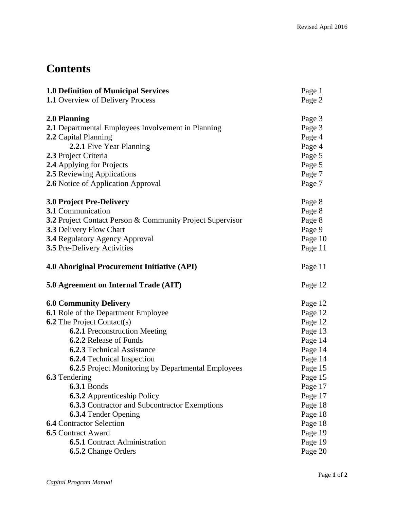## **Contents**

| <b>1.0 Definition of Municipal Services</b><br><b>1.1 Overview of Delivery Process</b> | Page 1<br>Page 2 |  |
|----------------------------------------------------------------------------------------|------------------|--|
| 2.0 Planning                                                                           | Page 3           |  |
| 2.1 Departmental Employees Involvement in Planning                                     | Page 3           |  |
| 2.2 Capital Planning                                                                   | Page 4           |  |
| 2.2.1 Five Year Planning<br>2.3 Project Criteria                                       | Page 4<br>Page 5 |  |
| 2.4 Applying for Projects                                                              | Page 5           |  |
| <b>2.5</b> Reviewing Applications                                                      | Page 7           |  |
| 2.6 Notice of Application Approval                                                     | Page 7           |  |
| <b>3.0 Project Pre-Delivery</b>                                                        | Page 8           |  |
| 3.1 Communication                                                                      | Page 8           |  |
| 3.2 Project Contact Person & Community Project Supervisor                              | Page 8           |  |
| <b>3.3 Delivery Flow Chart</b>                                                         | Page 9           |  |
| <b>3.4 Regulatory Agency Approval</b>                                                  | Page 10          |  |
| <b>3.5 Pre-Delivery Activities</b>                                                     | Page 11          |  |
| <b>4.0 Aboriginal Procurement Initiative (API)</b>                                     | Page 11          |  |
| 5.0 Agreement on Internal Trade (AIT)                                                  | Page 12          |  |
| <b>6.0 Community Delivery</b>                                                          | Page 12          |  |
| <b>6.1</b> Role of the Department Employee                                             | Page 12          |  |
| <b>6.2</b> The Project Contact(s)                                                      | Page 12          |  |
| <b>6.2.1 Preconstruction Meeting</b>                                                   | Page 13          |  |
| <b>6.2.2</b> Release of Funds                                                          | Page 14          |  |
| <b>6.2.3</b> Technical Assistance                                                      | Page 14          |  |
| <b>6.2.4</b> Technical Inspection                                                      | Page 14          |  |
| 6.2.5 Project Monitoring by Departmental Employees                                     | Page 15          |  |
| <b>6.3</b> Tendering                                                                   | Page 15          |  |
| <b>6.3.1 Bonds</b>                                                                     | Page 17          |  |
| <b>6.3.2</b> Apprenticeship Policy                                                     | Page 17          |  |
| <b>6.3.3</b> Contractor and Subcontractor Exemptions                                   | Page 18          |  |
| <b>6.3.4 Tender Opening</b>                                                            | Page 18          |  |
| <b>6.4 Contractor Selection</b>                                                        | Page 18          |  |
| <b>6.5 Contract Award</b>                                                              | Page 19          |  |
| <b>6.5.1</b> Contract Administration                                                   | Page 19          |  |
| <b>6.5.2</b> Change Orders                                                             | Page 20          |  |